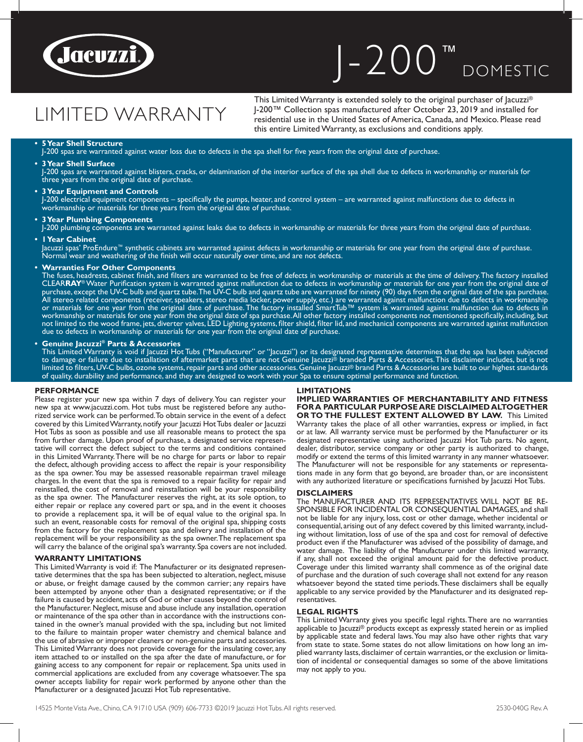

## J-200 ™ DOMESTIC

# LIMITED WARRANTY

This Limited Warranty is extended solely to the original purchaser of Jacuzzi® J-200™ Collection spas manufactured after October 23, 2019 and installed for residential use in the United States of America, Canada, and Mexico. Please read this entire Limited Warranty, as exclusions and conditions apply.

### **• 5 Year Shell Structure**

J-200 spas are warranted against water loss due to defects in the spa shell for five years from the original date of purchase.

### **• 3 Year Shell Surface**

J-200 spas are warranted against blisters, cracks, or delamination of the interior surface of the spa shell due to defects in workmanship or materials for three years from the original date of purchase.

### **• 3 Year Equipment and Controls**

J-200 electrical equipment components – specifically the pumps, heater, and control system – are warranted against malfunctions due to defects in workmanship or materials for three years from the original date of purchase.

### **• 3 Year Plumbing Components**

J-200 plumbing components are warranted against leaks due to defects in workmanship or materials for three years from the original date of purchase. **• 1 Year Cabinet**

Jacuzzi spas' ProEndure™ synthetic cabinets are warranted against defects in workmanship or materials for one year from the original date of purchase. Normal wear and weathering of the finish will occur naturally over time, and are not defects.

### **• Warranties For Other Components**

The fuses, headrests, cabinet finish, and filters are warranted to be free of defects in workmanship or materials at the time of delivery. The factory installed CLEAR**RAY**® Water Purification system is warranted against malfunction due to defects in workmanship or materials for one year from the original date of purchase, except the UV-C bulb and quartz tube. The UV-C bulb and quartz tube are warranted for ninety (90) days from the original date of the spa purchase. All stereo related components (receiver, speakers, stereo media locker, power supply, etc.) are warranted against malfunction due to defects in workmanship or materials for one year from the original date of purchase. The factory installed SmartTub™ system is warranted against malfunction due to defects in workmanship or materials for one year from the original date of spa purchase. All other factory installed components not mentioned specifically, including, but not limited to the wood frame, jets, diverter valves, LED Lighting systems, filter shield, filter lid, and mechanical components are warranted against malfunction due to defects in workmanship or materials for one year from the original date of purchase.

### **• Genuine Jacuzzi® Parts & Accessories**

This Limited Warranty is void if Jacuzzi Hot Tubs ("Manufacturer" or "Jacuzzi") or its designated representative determines that the spa has been subjected to damage or failure due to installation of aftermarket parts that are not Genuine Jacuzzi® branded Parts & Accessories. This disclaimer includes, but is not limited to filters, UV-C bulbs, ozone systems, repair parts and other accessories. Genuine Jacuzzi® brand Parts & Accessories are built to our highest standards of quality, durability and performance, and they are designed to work with your Spa to ensure optimal performance and function.

### **PERFORMANCE**

Please register your new spa within 7 days of delivery. You can register your new spa at www.jacuzzi.com. Hot tubs must be registered before any authorized service work can be performed. To obtain service in the event of a defect covered by this Limited Warranty, notify your Jacuzzi Hot Tubs dealer or Jacuzzi Hot Tubs as soon as possible and use all reasonable means to protect the spa from further damage. Upon proof of purchase, a designated service representative will correct the defect subject to the terms and conditions contained in this Limited Warranty. There will be no charge for parts or labor to repair the defect, although providing access to affect the repair is your responsibility as the spa owner. You may be assessed reasonable repairman travel mileage charges. In the event that the spa is removed to a repair facility for repair and reinstalled, the cost of removal and reinstallation will be your responsibility as the spa owner. The Manufacturer reserves the right, at its sole option, to either repair or replace any covered part or spa, and in the event it chooses to provide a replacement spa, it will be of equal value to the original spa. In such an event, reasonable costs for removal of the original spa, shipping costs from the factory for the replacement spa and delivery and installation of the replacement will be your responsibility as the spa owner. The replacement spa will carry the balance of the original spa's warranty. Spa covers are not included.

### **WARRANTY LIMITATIONS**

This Limited Warranty is void if: The Manufacturer or its designated representative determines that the spa has been subjected to alteration, neglect, misuse or abuse, or freight damage caused by the common carrier; any repairs have been attempted by anyone other than a designated representative; or if the failure is caused by accident, acts of God or other causes beyond the control of the Manufacturer. Neglect, misuse and abuse include any installation, operation or maintenance of the spa other than in accordance with the instructions contained in the owner's manual provided with the spa, including but not limited to the failure to maintain proper water chemistry and chemical balance and the use of abrasive or improper cleaners or non-genuine parts and accessories. This Limited Warranty does not provide coverage for the insulating cover, any item attached to or installed on the spa after the date of manufacture, or for gaining access to any component for repair or replacement. Spa units used in commercial applications are excluded from any coverage whatsoever. The spa owner accepts liability for repair work performed by anyone other than the Manufacturer or a designated Jacuzzi Hot Tub representative.

### **LIMITATIONS**

**IMPLIED WARRANTIES OF MERCHANTABILITY AND FITNESS FOR A PARTICULAR PURPOSE ARE DISCLAIMED ALTOGETHER OR TO THE FULLEST EXTENT ALLOWED BY LAW.** This Limited Warranty takes the place of all other warranties, express or implied, in fact or at law. All warranty service must be performed by the Manufacturer or its designated representative using authorized Jacuzzi Hot Tub parts. No agent, dealer, distributor, service company or other party is authorized to change, modify or extend the terms of this limited warranty in any manner whatsoever. The Manufacturer will not be responsible for any statements or representations made in any form that go beyond, are broader than, or are inconsistent with any authorized literature or specifications furnished by Jacuzzi Hot Tubs.

### **DISCLAIMERS**

The MANUFACTURER AND ITS REPRESENTATIVES WILL NOT BE RE-SPONSIBLE FOR INCIDENTAL OR CONSEQUENTIAL DAMAGES, and shall not be liable for any injury, loss, cost or other damage, whether incidental or consequential, arising out of any defect covered by this limited warranty, including without limitation, loss of use of the spa and cost for removal of defective product even if the Manufacturer was advised of the possibility of damage, and water damage. The liability of the Manufacturer under this limited warranty, if any, shall not exceed the original amount paid for the defective product. Coverage under this limited warranty shall commence as of the original date of purchase and the duration of such coverage shall not extend for any reason whatsoever beyond the stated time periods. These disclaimers shall be equally applicable to any service provided by the Manufacturer and its designated representatives.

### **LEGAL RIGHTS**

This Limited Warranty gives you specific legal rights. There are no warranties applicable to Jacuzzi® products except as expressly stated herein or as implied by applicable state and federal laws. You may also have other rights that vary from state to state. Some states do not allow limitations on how long an implied warranty lasts, disclaimer of certain warranties, or the exclusion or limitation of incidental or consequential damages so some of the above limitations may not apply to you.